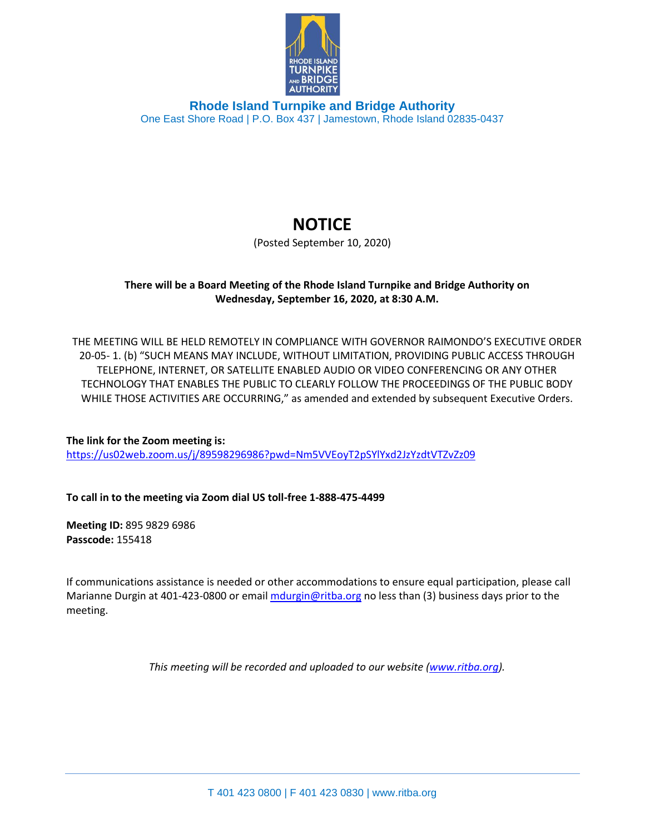

**Rhode Island Turnpike and Bridge Authority** One East Shore Road | P.O. Box 437 | Jamestown, Rhode Island 02835-0437

## **NOTICE**

(Posted September 10, 2020)

## **There will be a Board Meeting of the Rhode Island Turnpike and Bridge Authority on Wednesday, September 16, 2020, at 8:30 A.M.**

THE MEETING WILL BE HELD REMOTELY IN COMPLIANCE WITH GOVERNOR RAIMONDO'S EXECUTIVE ORDER 20-05- 1. (b) "SUCH MEANS MAY INCLUDE, WITHOUT LIMITATION, PROVIDING PUBLIC ACCESS THROUGH TELEPHONE, INTERNET, OR SATELLITE ENABLED AUDIO OR VIDEO CONFERENCING OR ANY OTHER TECHNOLOGY THAT ENABLES THE PUBLIC TO CLEARLY FOLLOW THE PROCEEDINGS OF THE PUBLIC BODY WHILE THOSE ACTIVITIES ARE OCCURRING," as amended and extended by subsequent Executive Orders.

**The link for the Zoom meeting is:**  <https://us02web.zoom.us/j/89598296986?pwd=Nm5VVEoyT2pSYlYxd2JzYzdtVTZvZz09>

**To call in to the meeting via Zoom dial US toll-free 1-888-475-4499**

**Meeting ID:** 895 9829 6986 **Passcode:** 155418

If communications assistance is needed or other accommodations to ensure equal participation, please call Marianne Durgin at 401-423-0800 or email [mdurgin@ritba.org](mailto:mdurgin@ritba.org) no less than (3) business days prior to the meeting.

*This meeting will be recorded and uploaded to our website [\(www.ritba.org\)](http://www.ritba.org/).*